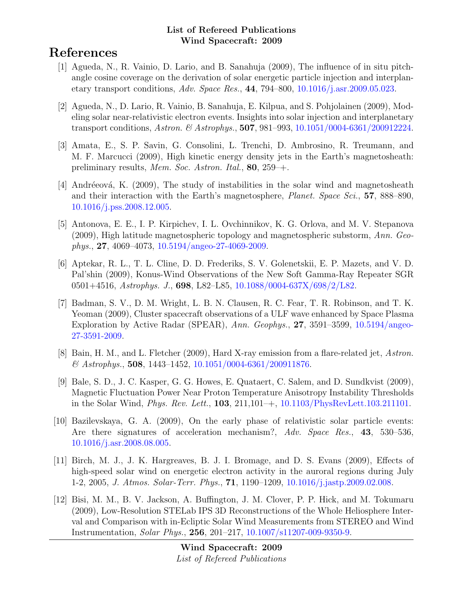# References

- [1] Agueda, N., R. Vainio, D. Lario, and B. Sanahuja (2009), The influence of in situ pitchangle cosine coverage on the derivation of solar energetic particle injection and interplanetary transport conditions, Adv. Space Res., 44, 794–800, [10.1016/j.asr.2009.05.023.](http://dx.doi.org/10.1016/j.asr.2009.05.023)
- [2] Agueda, N., D. Lario, R. Vainio, B. Sanahuja, E. Kilpua, and S. Pohjolainen (2009), Modeling solar near-relativistic electron events. Insights into solar injection and interplanetary transport conditions, Astron. & Astrophys., 507, 981–993, [10.1051/0004-6361/200912224.](http://dx.doi.org/10.1051/0004-6361/200912224)
- [3] Amata, E., S. P. Savin, G. Consolini, L. Trenchi, D. Ambrosino, R. Treumann, and M. F. Marcucci (2009), High kinetic energy density jets in the Earth's magnetosheath: preliminary results, Mem. Soc. Astron. Ital., 80, 259–+.
- [4] Andréeová, K. (2009), The study of instabilities in the solar wind and magnetosheath and their interaction with the Earth's magnetosphere, Planet. Space Sci., 57, 888–890, [10.1016/j.pss.2008.12.005.](http://dx.doi.org/10.1016/j.pss.2008.12.005)
- [5] Antonova, E. E., I. P. Kirpichev, I. L. Ovchinnikov, K. G. Orlova, and M. V. Stepanova  $(2009)$ , High latitude magnetospheric topology and magnetospheric substorm, Ann. Geophys., 27, 4069–4073, [10.5194/angeo-27-4069-2009.](http://dx.doi.org/10.5194/angeo-27-4069-2009)
- [6] Aptekar, R. L., T. L. Cline, D. D. Frederiks, S. V. Golenetskii, E. P. Mazets, and V. D. Pal'shin (2009), Konus-Wind Observations of the New Soft Gamma-Ray Repeater SGR 0501+4516, Astrophys. J., 698, L82–L85, [10.1088/0004-637X/698/2/L82.](http://dx.doi.org/10.1088/0004-637X/698/2/L82)
- [7] Badman, S. V., D. M. Wright, L. B. N. Clausen, R. C. Fear, T. R. Robinson, and T. K. Yeoman (2009), Cluster spacecraft observations of a ULF wave enhanced by Space Plasma Exploration by Active Radar (SPEAR), Ann. Geophys., 27, 3591–3599, [10.5194/angeo-](http://dx.doi.org/10.5194/angeo-27-3591-2009)[27-3591-2009.](http://dx.doi.org/10.5194/angeo-27-3591-2009)
- [8] Bain, H. M., and L. Fletcher (2009), Hard X-ray emission from a flare-related jet, Astron.  $\mathcal{B}$  Astrophys., 508, 1443–1452, [10.1051/0004-6361/200911876.](http://dx.doi.org/10.1051/0004-6361/200911876)
- [9] Bale, S. D., J. C. Kasper, G. G. Howes, E. Quataert, C. Salem, and D. Sundkvist (2009), Magnetic Fluctuation Power Near Proton Temperature Anisotropy Instability Thresholds in the Solar Wind, Phys. Rev. Lett., 103, 211,101–+, [10.1103/PhysRevLett.103.211101.](http://dx.doi.org/10.1103/PhysRevLett.103.211101)
- [10] Bazilevskaya, G. A. (2009), On the early phase of relativistic solar particle events: Are there signatures of acceleration mechanism?, Adv. Space Res., 43, 530–536, [10.1016/j.asr.2008.08.005.](http://dx.doi.org/10.1016/j.asr.2008.08.005)
- [11] Birch, M. J., J. K. Hargreaves, B. J. I. Bromage, and D. S. Evans (2009), Effects of high-speed solar wind on energetic electron activity in the auroral regions during July 1-2, 2005, J. Atmos. Solar-Terr. Phys., 71, 1190–1209, [10.1016/j.jastp.2009.02.008.](http://dx.doi.org/10.1016/j.jastp.2009.02.008)
- [12] Bisi, M. M., B. V. Jackson, A. Buffington, J. M. Clover, P. P. Hick, and M. Tokumaru (2009), Low-Resolution STELab IPS 3D Reconstructions of the Whole Heliosphere Interval and Comparison with in-Ecliptic Solar Wind Measurements from STEREO and Wind Instrumentation, Solar Phys., 256, 201–217, [10.1007/s11207-009-9350-9.](http://dx.doi.org/10.1007/s11207-009-9350-9)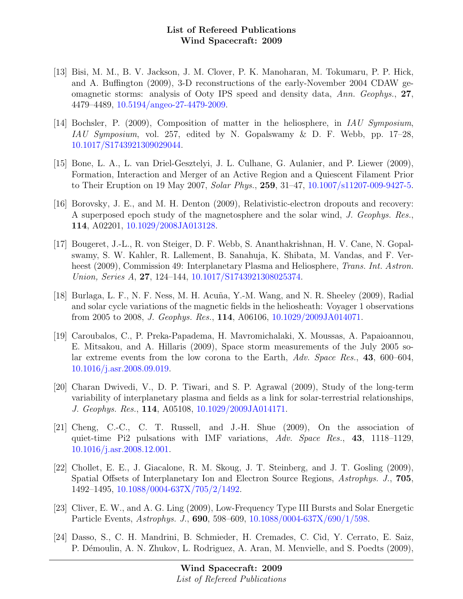- [13] Bisi, M. M., B. V. Jackson, J. M. Clover, P. K. Manoharan, M. Tokumaru, P. P. Hick, and A. Buffington (2009), 3-D reconstructions of the early-November 2004 CDAW geomagnetic storms: analysis of Ooty IPS speed and density data, Ann. Geophys., 27, 4479–4489, [10.5194/angeo-27-4479-2009.](http://dx.doi.org/10.5194/angeo-27-4479-2009)
- [14] Bochsler, P. (2009), Composition of matter in the heliosphere, in IAU Symposium, IAU Symposium, vol. 257, edited by N. Gopalswamy & D. F. Webb, pp. 17–28, [10.1017/S1743921309029044.](http://dx.doi.org/10.1017/S1743921309029044)
- [15] Bone, L. A., L. van Driel-Gesztelyi, J. L. Culhane, G. Aulanier, and P. Liewer (2009), Formation, Interaction and Merger of an Active Region and a Quiescent Filament Prior to Their Eruption on 19 May 2007, Solar Phys., 259, 31–47, [10.1007/s11207-009-9427-5.](http://dx.doi.org/10.1007/s11207-009-9427-5)
- [16] Borovsky, J. E., and M. H. Denton (2009), Relativistic-electron dropouts and recovery: A superposed epoch study of the magnetosphere and the solar wind, J. Geophys. Res., 114, A02201, [10.1029/2008JA013128.](http://dx.doi.org/10.1029/2008JA013128)
- [17] Bougeret, J.-L., R. von Steiger, D. F. Webb, S. Ananthakrishnan, H. V. Cane, N. Gopalswamy, S. W. Kahler, R. Lallement, B. Sanahuja, K. Shibata, M. Vandas, and F. Verheest (2009), Commission 49: Interplanetary Plasma and Heliosphere, Trans. Int. Astron. Union, Series A, 27, 124–144, [10.1017/S1743921308025374.](http://dx.doi.org/10.1017/S1743921308025374)
- [18] Burlaga, L. F., N. F. Ness, M. H. Acuña, Y.-M. Wang, and N. R. Sheeley (2009), Radial and solar cycle variations of the magnetic fields in the heliosheath: Voyager 1 observations from 2005 to 2008, J. Geophys. Res., 114, A06106, [10.1029/2009JA014071.](http://dx.doi.org/10.1029/2009JA014071)
- [19] Caroubalos, C., P. Preka-Papadema, H. Mavromichalaki, X. Moussas, A. Papaioannou, E. Mitsakou, and A. Hillaris (2009), Space storm measurements of the July 2005 solar extreme events from the low corona to the Earth, Adv. Space Res., 43, 600–604, [10.1016/j.asr.2008.09.019.](http://dx.doi.org/10.1016/j.asr.2008.09.019)
- [20] Charan Dwivedi, V., D. P. Tiwari, and S. P. Agrawal (2009), Study of the long-term variability of interplanetary plasma and fields as a link for solar-terrestrial relationships, J. Geophys. Res., 114, A05108, [10.1029/2009JA014171.](http://dx.doi.org/10.1029/2009JA014171)
- [21] Cheng, C.-C., C. T. Russell, and J.-H. Shue (2009), On the association of quiet-time Pi2 pulsations with IMF variations, Adv. Space Res., 43, 1118–1129, [10.1016/j.asr.2008.12.001.](http://dx.doi.org/10.1016/j.asr.2008.12.001)
- [22] Chollet, E. E., J. Giacalone, R. M. Skoug, J. T. Steinberg, and J. T. Gosling (2009), Spatial Offsets of Interplanetary Ion and Electron Source Regions, Astrophys. J., 705, 1492–1495, [10.1088/0004-637X/705/2/1492.](http://dx.doi.org/10.1088/0004-637X/705/2/1492)
- [23] Cliver, E. W., and A. G. Ling (2009), Low-Frequency Type III Bursts and Solar Energetic Particle Events, Astrophys. J., 690, 598–609, [10.1088/0004-637X/690/1/598.](http://dx.doi.org/10.1088/0004-637X/690/1/598)
- [24] Dasso, S., C. H. Mandrini, B. Schmieder, H. Cremades, C. Cid, Y. Cerrato, E. Saiz, P. Démoulin, A. N. Zhukov, L. Rodriguez, A. Aran, M. Menvielle, and S. Poedts (2009),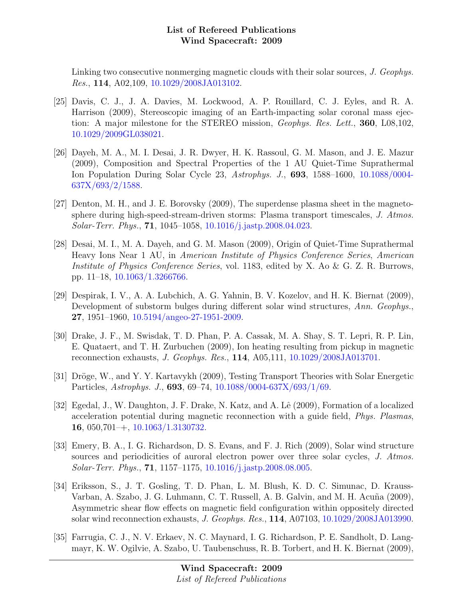Linking two consecutive nonmerging magnetic clouds with their solar sources, J. Geophys. Res., 114, A02,109, [10.1029/2008JA013102.](http://dx.doi.org/10.1029/2008JA013102)

- [25] Davis, C. J., J. A. Davies, M. Lockwood, A. P. Rouillard, C. J. Eyles, and R. A. Harrison (2009), Stereoscopic imaging of an Earth-impacting solar coronal mass ejection: A major milestone for the STEREO mission, Geophys. Res. Lett., 360, L08,102, [10.1029/2009GL038021.](http://dx.doi.org/10.1029/2009GL038021)
- [26] Dayeh, M. A., M. I. Desai, J. R. Dwyer, H. K. Rassoul, G. M. Mason, and J. E. Mazur (2009), Composition and Spectral Properties of the 1 AU Quiet-Time Suprathermal Ion Population During Solar Cycle 23, Astrophys. J., 693, 1588–1600, [10.1088/0004-](http://dx.doi.org/10.1088/0004-637X/693/2/1588) [637X/693/2/1588.](http://dx.doi.org/10.1088/0004-637X/693/2/1588)
- [27] Denton, M. H., and J. E. Borovsky (2009), The superdense plasma sheet in the magnetosphere during high-speed-stream-driven storms: Plasma transport timescales, J. Atmos. Solar-Terr. Phys., 71, 1045–1058, [10.1016/j.jastp.2008.04.023.](http://dx.doi.org/10.1016/j.jastp.2008.04.023)
- [28] Desai, M. I., M. A. Dayeh, and G. M. Mason (2009), Origin of Quiet-Time Suprathermal Heavy Ions Near 1 AU, in American Institute of Physics Conference Series, American Institute of Physics Conference Series, vol. 1183, edited by X. Ao & G. Z. R. Burrows, pp. 11–18, [10.1063/1.3266766.](http://dx.doi.org/10.1063/1.3266766)
- [29] Despirak, I. V., A. A. Lubchich, A. G. Yahnin, B. V. Kozelov, and H. K. Biernat (2009), Development of substorm bulges during different solar wind structures, Ann. Geophys., 27, 1951–1960, [10.5194/angeo-27-1951-2009.](http://dx.doi.org/10.5194/angeo-27-1951-2009)
- [30] Drake, J. F., M. Swisdak, T. D. Phan, P. A. Cassak, M. A. Shay, S. T. Lepri, R. P. Lin, E. Quataert, and T. H. Zurbuchen (2009), Ion heating resulting from pickup in magnetic reconnection exhausts, J. Geophys. Res., 114, A05,111, [10.1029/2008JA013701.](http://dx.doi.org/10.1029/2008JA013701)
- [31] Dröge, W., and Y. Y. Kartavykh (2009), Testing Transport Theories with Solar Energetic Particles, Astrophys. J., 693, 69–74, [10.1088/0004-637X/693/1/69.](http://dx.doi.org/10.1088/0004-637X/693/1/69)
- [32] Egedal, J., W. Daughton, J. F. Drake, N. Katz, and A. Lê (2009), Formation of a localized acceleration potential during magnetic reconnection with a guide field, Phys. Plasmas, 16,  $050,701-+$ ,  $10.1063/1.3130732$ .
- [33] Emery, B. A., I. G. Richardson, D. S. Evans, and F. J. Rich (2009), Solar wind structure sources and periodicities of auroral electron power over three solar cycles, J. Atmos. Solar-Terr. Phys., 71, 1157–1175, [10.1016/j.jastp.2008.08.005.](http://dx.doi.org/10.1016/j.jastp.2008.08.005)
- [34] Eriksson, S., J. T. Gosling, T. D. Phan, L. M. Blush, K. D. C. Simunac, D. Krauss-Varban, A. Szabo, J. G. Luhmann, C. T. Russell, A. B. Galvin, and M. H. Acuña (2009), Asymmetric shear flow effects on magnetic field configuration within oppositely directed solar wind reconnection exhausts, J. Geophys. Res., 114, A07103, [10.1029/2008JA013990.](http://dx.doi.org/10.1029/2008JA013990)
- [35] Farrugia, C. J., N. V. Erkaev, N. C. Maynard, I. G. Richardson, P. E. Sandholt, D. Langmayr, K. W. Ogilvie, A. Szabo, U. Taubenschuss, R. B. Torbert, and H. K. Biernat (2009),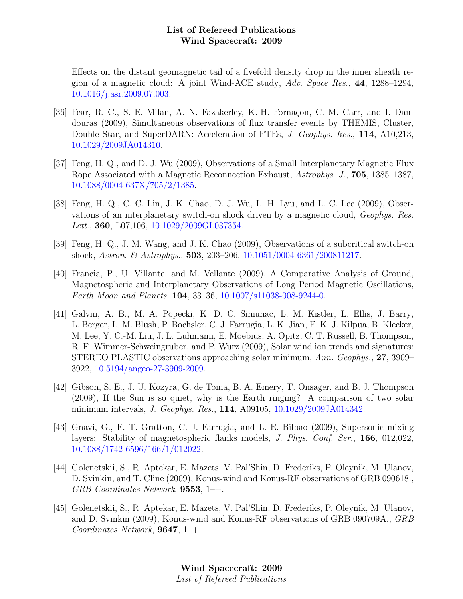Effects on the distant geomagnetic tail of a fivefold density drop in the inner sheath region of a magnetic cloud: A joint Wind-ACE study, Adv. Space Res., 44, 1288–1294, [10.1016/j.asr.2009.07.003.](http://dx.doi.org/10.1016/j.asr.2009.07.003)

- [36] Fear, R. C., S. E. Milan, A. N. Fazakerley, K.-H. Fornaçon, C. M. Carr, and I. Dandouras (2009), Simultaneous observations of flux transfer events by THEMIS, Cluster, Double Star, and SuperDARN: Acceleration of FTEs, J. Geophys. Res., 114, A10,213, [10.1029/2009JA014310.](http://dx.doi.org/10.1029/2009JA014310)
- [37] Feng, H. Q., and D. J. Wu (2009), Observations of a Small Interplanetary Magnetic Flux Rope Associated with a Magnetic Reconnection Exhaust, Astrophys. J., 705, 1385–1387, [10.1088/0004-637X/705/2/1385.](http://dx.doi.org/10.1088/0004-637X/705/2/1385)
- [38] Feng, H. Q., C. C. Lin, J. K. Chao, D. J. Wu, L. H. Lyu, and L. C. Lee (2009), Observations of an interplanetary switch-on shock driven by a magnetic cloud, *Geophys. Res.* Lett., **360**, L07, 106, [10.1029/2009GL037354.](http://dx.doi.org/10.1029/2009GL037354)
- [39] Feng, H. Q., J. M. Wang, and J. K. Chao (2009), Observations of a subcritical switch-on shock, Astron. & Astrophys., 503, 203–206, [10.1051/0004-6361/200811217.](http://dx.doi.org/10.1051/0004-6361/200811217)
- [40] Francia, P., U. Villante, and M. Vellante (2009), A Comparative Analysis of Ground, Magnetospheric and Interplanetary Observations of Long Period Magnetic Oscillations, Earth Moon and Planets, 104, 33–36, [10.1007/s11038-008-9244-0.](http://dx.doi.org/10.1007/s11038-008-9244-0)
- [41] Galvin, A. B., M. A. Popecki, K. D. C. Simunac, L. M. Kistler, L. Ellis, J. Barry, L. Berger, L. M. Blush, P. Bochsler, C. J. Farrugia, L. K. Jian, E. K. J. Kilpua, B. Klecker, M. Lee, Y. C.-M. Liu, J. L. Luhmann, E. Moebius, A. Opitz, C. T. Russell, B. Thompson, R. F. Wimmer-Schweingruber, and P. Wurz (2009), Solar wind ion trends and signatures: STEREO PLASTIC observations approaching solar minimum, Ann. Geophys., 27, 3909– 3922, [10.5194/angeo-27-3909-2009.](http://dx.doi.org/10.5194/angeo-27-3909-2009)
- [42] Gibson, S. E., J. U. Kozyra, G. de Toma, B. A. Emery, T. Onsager, and B. J. Thompson (2009), If the Sun is so quiet, why is the Earth ringing? A comparison of two solar minimum intervals, J. Geophys. Res., 114, A09105, [10.1029/2009JA014342.](http://dx.doi.org/10.1029/2009JA014342)
- [43] Gnavi, G., F. T. Gratton, C. J. Farrugia, and L. E. Bilbao (2009), Supersonic mixing layers: Stability of magnetospheric flanks models, J. Phys. Conf. Ser., 166, 012,022, [10.1088/1742-6596/166/1/012022.](http://dx.doi.org/10.1088/1742-6596/166/1/012022)
- [44] Golenetskii, S., R. Aptekar, E. Mazets, V. Pal'Shin, D. Frederiks, P. Oleynik, M. Ulanov, D. Svinkin, and T. Cline (2009), Konus-wind and Konus-RF observations of GRB 090618., GRB Coordinates Network, 9553, 1–+.
- [45] Golenetskii, S., R. Aptekar, E. Mazets, V. Pal'Shin, D. Frederiks, P. Oleynik, M. Ulanov, and D. Svinkin (2009), Konus-wind and Konus-RF observations of GRB 090709A., GRB Coordinates Network,  $9647, 1$ –+.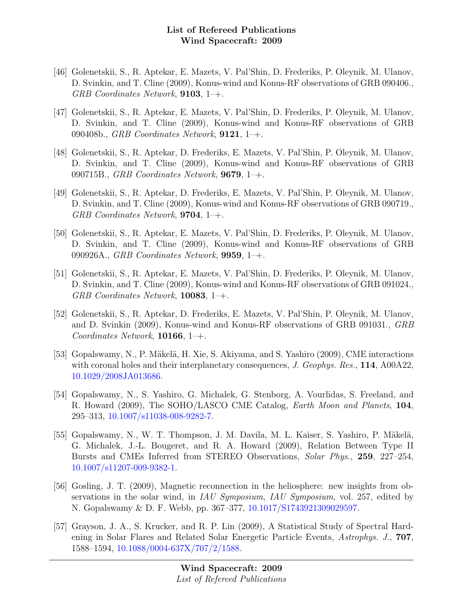- [46] Golenetskii, S., R. Aptekar, E. Mazets, V. Pal'Shin, D. Frederiks, P. Oleynik, M. Ulanov, D. Svinkin, and T. Cline (2009), Konus-wind and Konus-RF observations of GRB 090406.,  $GRB$  Coordinates Network, **9103**, 1–+.
- [47] Golenetskii, S., R. Aptekar, E. Mazets, V. Pal'Shin, D. Frederiks, P. Oleynik, M. Ulanov, D. Svinkin, and T. Cline (2009), Konus-wind and Konus-RF observations of GRB 090408b., GRB Coordinates Network,  $9121$ , 1–+.
- [48] Golenetskii, S., R. Aptekar, D. Frederiks, E. Mazets, V. Pal'Shin, P. Oleynik, M. Ulanov, D. Svinkin, and T. Cline (2009), Konus-wind and Konus-RF observations of GRB 090715B., GRB Coordinates Network,  $9679$ , 1–+.
- [49] Golenetskii, S., R. Aptekar, D. Frederiks, E. Mazets, V. Pal'Shin, P. Oleynik, M. Ulanov, D. Svinkin, and T. Cline (2009), Konus-wind and Konus-RF observations of GRB 090719.,  $GRB$  Coordinates Network, **9704**, 1–+.
- [50] Golenetskii, S., R. Aptekar, E. Mazets, V. Pal'Shin, D. Frederiks, P. Oleynik, M. Ulanov, D. Svinkin, and T. Cline (2009), Konus-wind and Konus-RF observations of GRB 090926A., GRB Coordinates Network,  $9959, 1$ –+.
- [51] Golenetskii, S., R. Aptekar, E. Mazets, V. Pal'Shin, D. Frederiks, P. Oleynik, M. Ulanov, D. Svinkin, and T. Cline (2009), Konus-wind and Konus-RF observations of GRB 091024., GRB Coordinates Network, 10083, 1–+.
- [52] Golenetskii, S., R. Aptekar, D. Frederiks, E. Mazets, V. Pal'Shin, P. Oleynik, M. Ulanov, and D. Svinkin (2009), Konus-wind and Konus-RF observations of GRB 091031., GRB Coordinates Network,  $10166$ , 1–+.
- [53] Gopalswamy, N., P. Mäkelä, H. Xie, S. Akiyama, and S. Yashiro (2009), CME interactions with coronal holes and their interplanetary consequences, J. Geophys. Res., 114, A00A22, [10.1029/2008JA013686.](http://dx.doi.org/10.1029/2008JA013686)
- [54] Gopalswamy, N., S. Yashiro, G. Michalek, G. Stenborg, A. Vourlidas, S. Freeland, and R. Howard (2009), The SOHO/LASCO CME Catalog, *Earth Moon and Planets*, 104, 295–313, [10.1007/s11038-008-9282-7.](http://dx.doi.org/10.1007/s11038-008-9282-7)
- [55] Gopalswamy, N., W. T. Thompson, J. M. Davila, M. L. Kaiser, S. Yashiro, P. Mäkelä, G. Michalek, J.-L. Bougeret, and R. A. Howard (2009), Relation Between Type II Bursts and CMEs Inferred from STEREO Observations, Solar Phys., 259, 227–254, [10.1007/s11207-009-9382-1.](http://dx.doi.org/10.1007/s11207-009-9382-1)
- [56] Gosling, J. T. (2009), Magnetic reconnection in the heliosphere: new insights from observations in the solar wind, in IAU Symposium, IAU Symposium, vol. 257, edited by N. Gopalswamy & D. F. Webb, pp. 367–377, [10.1017/S1743921309029597.](http://dx.doi.org/10.1017/S1743921309029597)
- [57] Grayson, J. A., S. Krucker, and R. P. Lin (2009), A Statistical Study of Spectral Hardening in Solar Flares and Related Solar Energetic Particle Events, Astrophys. J., 707, 1588–1594, [10.1088/0004-637X/707/2/1588.](http://dx.doi.org/10.1088/0004-637X/707/2/1588)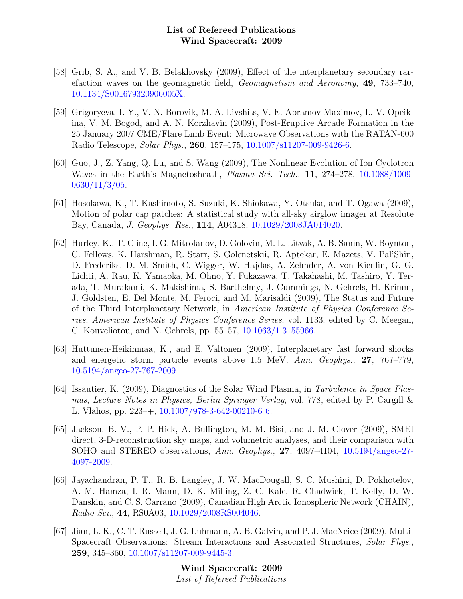- [58] Grib, S. A., and V. B. Belakhovsky (2009), Effect of the interplanetary secondary rarefaction waves on the geomagnetic field, Geomagnetism and Aeronomy, 49, 733–740, [10.1134/S001679320906005X.](http://dx.doi.org/10.1134/S001679320906005X)
- [59] Grigoryeva, I. Y., V. N. Borovik, M. A. Livshits, V. E. Abramov-Maximov, L. V. Opeikina, V. M. Bogod, and A. N. Korzhavin (2009), Post-Eruptive Arcade Formation in the 25 January 2007 CME/Flare Limb Event: Microwave Observations with the RATAN-600 Radio Telescope, Solar Phys., 260, 157–175, [10.1007/s11207-009-9426-6.](http://dx.doi.org/10.1007/s11207-009-9426-6)
- [60] Guo, J., Z. Yang, Q. Lu, and S. Wang (2009), The Nonlinear Evolution of Ion Cyclotron Waves in the Earth's Magnetosheath, *Plasma Sci. Tech.*, 11, 274–278, [10.1088/1009-](http://dx.doi.org/10.1088/1009-0630/11/3/05) [0630/11/3/05.](http://dx.doi.org/10.1088/1009-0630/11/3/05)
- [61] Hosokawa, K., T. Kashimoto, S. Suzuki, K. Shiokawa, Y. Otsuka, and T. Ogawa (2009), Motion of polar cap patches: A statistical study with all-sky airglow imager at Resolute Bay, Canada, J. Geophys. Res., 114, A04318, [10.1029/2008JA014020.](http://dx.doi.org/10.1029/2008JA014020)
- [62] Hurley, K., T. Cline, I. G. Mitrofanov, D. Golovin, M. L. Litvak, A. B. Sanin, W. Boynton, C. Fellows, K. Harshman, R. Starr, S. Golenetskii, R. Aptekar, E. Mazets, V. Pal'Shin, D. Frederiks, D. M. Smith, C. Wigger, W. Hajdas, A. Zehnder, A. von Kienlin, G. G. Lichti, A. Rau, K. Yamaoka, M. Ohno, Y. Fukazawa, T. Takahashi, M. Tashiro, Y. Terada, T. Murakami, K. Makishima, S. Barthelmy, J. Cummings, N. Gehrels, H. Krimm, J. Goldsten, E. Del Monte, M. Feroci, and M. Marisaldi (2009), The Status and Future of the Third Interplanetary Network, in American Institute of Physics Conference Series, American Institute of Physics Conference Series, vol. 1133, edited by C. Meegan, C. Kouveliotou, and N. Gehrels, pp. 55–57, [10.1063/1.3155966.](http://dx.doi.org/10.1063/1.3155966)
- [63] Huttunen-Heikinmaa, K., and E. Valtonen (2009), Interplanetary fast forward shocks and energetic storm particle events above 1.5 MeV, Ann. Geophys., 27, 767–779, [10.5194/angeo-27-767-2009.](http://dx.doi.org/10.5194/angeo-27-767-2009)
- [64] Issautier, K. (2009), Diagnostics of the Solar Wind Plasma, in Turbulence in Space Plasmas, Lecture Notes in Physics, Berlin Springer Verlag, vol. 778, edited by P. Cargill & L. Vlahos, pp.  $223$ –+,  $10.1007/978$ -3-642-00210-6.6.
- [65] Jackson, B. V., P. P. Hick, A. Buffington, M. M. Bisi, and J. M. Clover (2009), SMEI direct, 3-D-reconstruction sky maps, and volumetric analyses, and their comparison with SOHO and STEREO observations, Ann. Geophys., 27, 4097–4104, [10.5194/angeo-27-](http://dx.doi.org/10.5194/angeo-27-4097-2009) [4097-2009.](http://dx.doi.org/10.5194/angeo-27-4097-2009)
- [66] Jayachandran, P. T., R. B. Langley, J. W. MacDougall, S. C. Mushini, D. Pokhotelov, A. M. Hamza, I. R. Mann, D. K. Milling, Z. C. Kale, R. Chadwick, T. Kelly, D. W. Danskin, and C. S. Carrano (2009), Canadian High Arctic Ionospheric Network (CHAIN), Radio Sci., 44, RS0A03, [10.1029/2008RS004046.](http://dx.doi.org/10.1029/2008RS004046)
- [67] Jian, L. K., C. T. Russell, J. G. Luhmann, A. B. Galvin, and P. J. MacNeice (2009), Multi-Spacecraft Observations: Stream Interactions and Associated Structures, Solar Phys., 259, 345–360, [10.1007/s11207-009-9445-3.](http://dx.doi.org/10.1007/s11207-009-9445-3)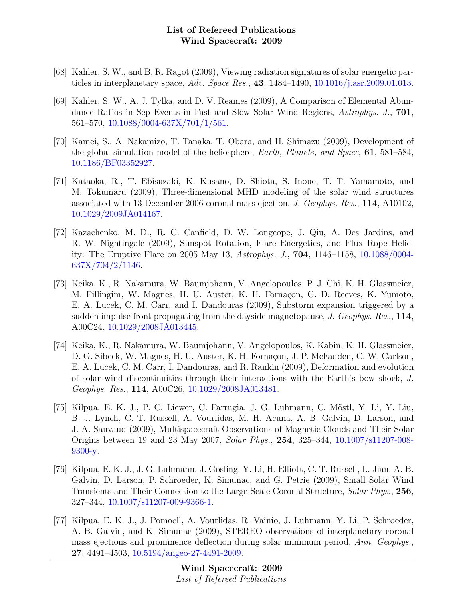- [68] Kahler, S. W., and B. R. Ragot (2009), Viewing radiation signatures of solar energetic particles in interplanetary space, Adv. Space Res., 43, 1484–1490, [10.1016/j.asr.2009.01.013.](http://dx.doi.org/10.1016/j.asr.2009.01.013)
- [69] Kahler, S. W., A. J. Tylka, and D. V. Reames (2009), A Comparison of Elemental Abundance Ratios in Sep Events in Fast and Slow Solar Wind Regions, Astrophys. J., 701, 561–570, [10.1088/0004-637X/701/1/561.](http://dx.doi.org/10.1088/0004-637X/701/1/561)
- [70] Kamei, S., A. Nakamizo, T. Tanaka, T. Obara, and H. Shimazu (2009), Development of the global simulation model of the heliosphere, Earth, Planets, and Space, 61, 581–584, [10.1186/BF03352927.](http://dx.doi.org/10.1186/BF03352927)
- [71] Kataoka, R., T. Ebisuzaki, K. Kusano, D. Shiota, S. Inoue, T. T. Yamamoto, and M. Tokumaru (2009), Three-dimensional MHD modeling of the solar wind structures associated with 13 December 2006 coronal mass ejection, J. Geophys. Res., 114, A10102, [10.1029/2009JA014167.](http://dx.doi.org/10.1029/2009JA014167)
- [72] Kazachenko, M. D., R. C. Canfield, D. W. Longcope, J. Qiu, A. Des Jardins, and R. W. Nightingale (2009), Sunspot Rotation, Flare Energetics, and Flux Rope Helicity: The Eruptive Flare on 2005 May 13, Astrophys. J., 704, 1146–1158, [10.1088/0004-](http://dx.doi.org/10.1088/0004-637X/704/2/1146)  $637X/704/2/1146$ .
- [73] Keika, K., R. Nakamura, W. Baumjohann, V. Angelopoulos, P. J. Chi, K. H. Glassmeier, M. Fillingim, W. Magnes, H. U. Auster, K. H. Fornaçon, G. D. Reeves, K. Yumoto, E. A. Lucek, C. M. Carr, and I. Dandouras (2009), Substorm expansion triggered by a sudden impulse front propagating from the dayside magnetopause, J. Geophys. Res.,  $114$ , A00C24, [10.1029/2008JA013445.](http://dx.doi.org/10.1029/2008JA013445)
- [74] Keika, K., R. Nakamura, W. Baumjohann, V. Angelopoulos, K. Kabin, K. H. Glassmeier, D. G. Sibeck, W. Magnes, H. U. Auster, K. H. Fornaçon, J. P. McFadden, C. W. Carlson, E. A. Lucek, C. M. Carr, I. Dandouras, and R. Rankin (2009), Deformation and evolution of solar wind discontinuities through their interactions with the Earth's bow shock, J. Geophys. Res., 114, A00C26, [10.1029/2008JA013481.](http://dx.doi.org/10.1029/2008JA013481)
- [75] Kilpua, E. K. J., P. C. Liewer, C. Farrugia, J. G. Luhmann, C. Möstl, Y. Li, Y. Liu, B. J. Lynch, C. T. Russell, A. Vourlidas, M. H. Acuna, A. B. Galvin, D. Larson, and J. A. Sauvaud (2009), Multispacecraft Observations of Magnetic Clouds and Their Solar Origins between 19 and 23 May 2007, Solar Phys., 254, 325–344, [10.1007/s11207-008-](http://dx.doi.org/10.1007/s11207-008-9300-y) [9300-y.](http://dx.doi.org/10.1007/s11207-008-9300-y)
- [76] Kilpua, E. K. J., J. G. Luhmann, J. Gosling, Y. Li, H. Elliott, C. T. Russell, L. Jian, A. B. Galvin, D. Larson, P. Schroeder, K. Simunac, and G. Petrie (2009), Small Solar Wind Transients and Their Connection to the Large-Scale Coronal Structure, Solar Phys., 256, 327–344, [10.1007/s11207-009-9366-1.](http://dx.doi.org/10.1007/s11207-009-9366-1)
- [77] Kilpua, E. K. J., J. Pomoell, A. Vourlidas, R. Vainio, J. Luhmann, Y. Li, P. Schroeder, A. B. Galvin, and K. Simunac (2009), STEREO observations of interplanetary coronal mass ejections and prominence deflection during solar minimum period, Ann. Geophys., 27, 4491–4503, [10.5194/angeo-27-4491-2009.](http://dx.doi.org/10.5194/angeo-27-4491-2009)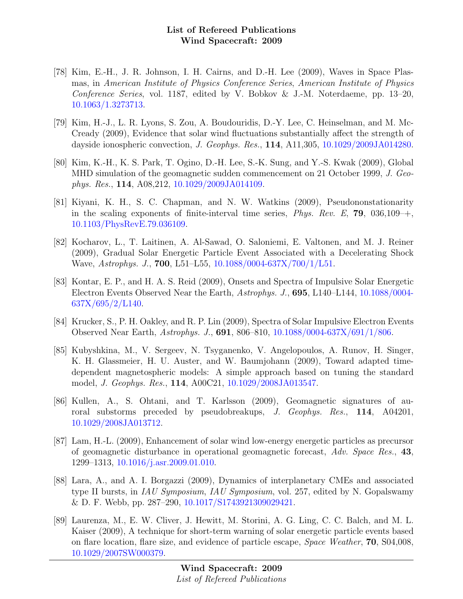- [78] Kim, E.-H., J. R. Johnson, I. H. Cairns, and D.-H. Lee (2009), Waves in Space Plasmas, in American Institute of Physics Conference Series, American Institute of Physics Conference Series, vol. 1187, edited by V. Bobkov & J.-M. Noterdaeme, pp. 13–20, [10.1063/1.3273713.](http://dx.doi.org/10.1063/1.3273713)
- [79] Kim, H.-J., L. R. Lyons, S. Zou, A. Boudouridis, D.-Y. Lee, C. Heinselman, and M. Mc-Cready (2009), Evidence that solar wind fluctuations substantially affect the strength of dayside ionospheric convection, J. Geophys. Res., 114, A11,305, [10.1029/2009JA014280.](http://dx.doi.org/10.1029/2009JA014280)
- [80] Kim, K.-H., K. S. Park, T. Ogino, D.-H. Lee, S.-K. Sung, and Y.-S. Kwak (2009), Global MHD simulation of the geomagnetic sudden commencement on 21 October 1999, J. Geophys. Res., 114, A08,212, [10.1029/2009JA014109.](http://dx.doi.org/10.1029/2009JA014109)
- [81] Kiyani, K. H., S. C. Chapman, and N. W. Watkins (2009), Pseudononstationarity in the scaling exponents of finite-interval time series, *Phys. Rev. E*, **79**, 036,109–+, [10.1103/PhysRevE.79.036109.](http://dx.doi.org/10.1103/PhysRevE.79.036109)
- [82] Kocharov, L., T. Laitinen, A. Al-Sawad, O. Saloniemi, E. Valtonen, and M. J. Reiner (2009), Gradual Solar Energetic Particle Event Associated with a Decelerating Shock Wave, Astrophys. J., 700, L51–L55, [10.1088/0004-637X/700/1/L51.](http://dx.doi.org/10.1088/0004-637X/700/1/L51)
- [83] Kontar, E. P., and H. A. S. Reid (2009), Onsets and Spectra of Impulsive Solar Energetic Electron Events Observed Near the Earth, Astrophys. J., 695, L140–L144, [10.1088/0004-](http://dx.doi.org/10.1088/0004-637X/695/2/L140) [637X/695/2/L140.](http://dx.doi.org/10.1088/0004-637X/695/2/L140)
- [84] Krucker, S., P. H. Oakley, and R. P. Lin (2009), Spectra of Solar Impulsive Electron Events Observed Near Earth, Astrophys. J., 691, 806–810, [10.1088/0004-637X/691/1/806.](http://dx.doi.org/10.1088/0004-637X/691/1/806)
- [85] Kubyshkina, M., V. Sergeev, N. Tsyganenko, V. Angelopoulos, A. Runov, H. Singer, K. H. Glassmeier, H. U. Auster, and W. Baumjohann (2009), Toward adapted timedependent magnetospheric models: A simple approach based on tuning the standard model, J. Geophys. Res., 114, A00C21, [10.1029/2008JA013547.](http://dx.doi.org/10.1029/2008JA013547)
- [86] Kullen, A., S. Ohtani, and T. Karlsson (2009), Geomagnetic signatures of auroral substorms preceded by pseudobreakups, J. Geophys. Res., 114, A04201, [10.1029/2008JA013712.](http://dx.doi.org/10.1029/2008JA013712)
- [87] Lam, H.-L. (2009), Enhancement of solar wind low-energy energetic particles as precursor of geomagnetic disturbance in operational geomagnetic forecast, Adv. Space Res., 43, 1299–1313, [10.1016/j.asr.2009.01.010.](http://dx.doi.org/10.1016/j.asr.2009.01.010)
- [88] Lara, A., and A. I. Borgazzi (2009), Dynamics of interplanetary CMEs and associated type II bursts, in IAU Symposium, IAU Symposium, vol. 257, edited by N. Gopalswamy & D. F. Webb, pp. 287–290, [10.1017/S1743921309029421.](http://dx.doi.org/10.1017/S1743921309029421)
- [89] Laurenza, M., E. W. Cliver, J. Hewitt, M. Storini, A. G. Ling, C. C. Balch, and M. L. Kaiser (2009), A technique for short-term warning of solar energetic particle events based on flare location, flare size, and evidence of particle escape, Space Weather, 70, S04,008, [10.1029/2007SW000379.](http://dx.doi.org/10.1029/2007SW000379)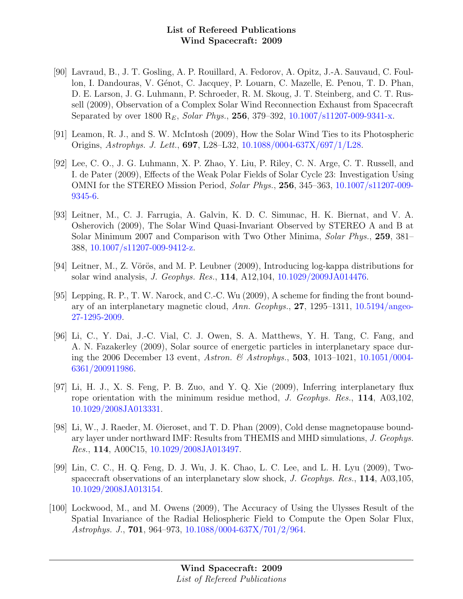- [90] Lavraud, B., J. T. Gosling, A. P. Rouillard, A. Fedorov, A. Opitz, J.-A. Sauvaud, C. Foullon, I. Dandouras, V. Génot, C. Jacquey, P. Louarn, C. Mazelle, E. Penou, T. D. Phan, D. E. Larson, J. G. Luhmann, P. Schroeder, R. M. Skoug, J. T. Steinberg, and C. T. Russell (2009), Observation of a Complex Solar Wind Reconnection Exhaust from Spacecraft Separated by over 1800  $R_E$ , Solar Phys., 256, 379–392, [10.1007/s11207-009-9341-x.](http://dx.doi.org/10.1007/s11207-009-9341-x)
- [91] Leamon, R. J., and S. W. McIntosh (2009), How the Solar Wind Ties to its Photospheric Origins, Astrophys. J. Lett., 697, L28–L32, [10.1088/0004-637X/697/1/L28.](http://dx.doi.org/10.1088/0004-637X/697/1/L28)
- [92] Lee, C. O., J. G. Luhmann, X. P. Zhao, Y. Liu, P. Riley, C. N. Arge, C. T. Russell, and I. de Pater (2009), Effects of the Weak Polar Fields of Solar Cycle 23: Investigation Using OMNI for the STEREO Mission Period, Solar Phys., 256, 345–363, [10.1007/s11207-009-](http://dx.doi.org/10.1007/s11207-009-9345-6) [9345-6.](http://dx.doi.org/10.1007/s11207-009-9345-6)
- [93] Leitner, M., C. J. Farrugia, A. Galvin, K. D. C. Simunac, H. K. Biernat, and V. A. Osherovich (2009), The Solar Wind Quasi-Invariant Observed by STEREO A and B at Solar Minimum 2007 and Comparison with Two Other Minima, Solar Phys., 259, 381– 388, [10.1007/s11207-009-9412-z.](http://dx.doi.org/10.1007/s11207-009-9412-z)
- [94] Leitner, M., Z. Vörös, and M. P. Leubner (2009), Introducing log-kappa distributions for solar wind analysis, J. Geophys. Res., 114, A12,104, [10.1029/2009JA014476.](http://dx.doi.org/10.1029/2009JA014476)
- [95] Lepping, R. P., T. W. Narock, and C.-C. Wu (2009), A scheme for finding the front boundary of an interplanetary magnetic cloud, Ann. Geophys., 27, 1295–1311, [10.5194/angeo-](http://dx.doi.org/10.5194/angeo-27-1295-2009)[27-1295-2009.](http://dx.doi.org/10.5194/angeo-27-1295-2009)
- [96] Li, C., Y. Dai, J.-C. Vial, C. J. Owen, S. A. Matthews, Y. H. Tang, C. Fang, and A. N. Fazakerley (2009), Solar source of energetic particles in interplanetary space during the 2006 December 13 event, Astron. & Astrophys., 503, 1013–1021, [10.1051/0004-](http://dx.doi.org/10.1051/0004-6361/200911986) [6361/200911986.](http://dx.doi.org/10.1051/0004-6361/200911986)
- [97] Li, H. J., X. S. Feng, P. B. Zuo, and Y. Q. Xie (2009), Inferring interplanetary flux rope orientation with the minimum residue method, J. Geophys. Res., 114, A03,102, [10.1029/2008JA013331.](http://dx.doi.org/10.1029/2008JA013331)
- [98] Li, W., J. Raeder, M. Øieroset, and T. D. Phan (2009), Cold dense magnetopause boundary layer under northward IMF: Results from THEMIS and MHD simulations, J. Geophys. Res., 114, A00C15, [10.1029/2008JA013497.](http://dx.doi.org/10.1029/2008JA013497)
- [99] Lin, C. C., H. Q. Feng, D. J. Wu, J. K. Chao, L. C. Lee, and L. H. Lyu (2009), Twospacecraft observations of an interplanetary slow shock, J. Geophys. Res., 114, A03,105, [10.1029/2008JA013154.](http://dx.doi.org/10.1029/2008JA013154)
- [100] Lockwood, M., and M. Owens (2009), The Accuracy of Using the Ulysses Result of the Spatial Invariance of the Radial Heliospheric Field to Compute the Open Solar Flux, Astrophys. J., 701, 964–973, [10.1088/0004-637X/701/2/964.](http://dx.doi.org/10.1088/0004-637X/701/2/964)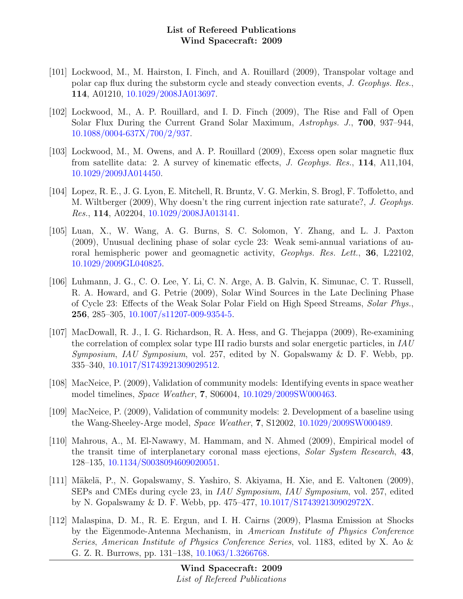- [101] Lockwood, M., M. Hairston, I. Finch, and A. Rouillard (2009), Transpolar voltage and polar cap flux during the substorm cycle and steady convection events, J. Geophys. Res., 114, A01210, [10.1029/2008JA013697.](http://dx.doi.org/10.1029/2008JA013697)
- [102] Lockwood, M., A. P. Rouillard, and I. D. Finch (2009), The Rise and Fall of Open Solar Flux During the Current Grand Solar Maximum, Astrophys. J., 700, 937–944, [10.1088/0004-637X/700/2/937.](http://dx.doi.org/10.1088/0004-637X/700/2/937)
- [103] Lockwood, M., M. Owens, and A. P. Rouillard (2009), Excess open solar magnetic flux from satellite data: 2. A survey of kinematic effects, J. Geophys. Res., 114, A11,104, [10.1029/2009JA014450.](http://dx.doi.org/10.1029/2009JA014450)
- [104] Lopez, R. E., J. G. Lyon, E. Mitchell, R. Bruntz, V. G. Merkin, S. Brogl, F. Toffoletto, and M. Wiltberger (2009), Why doesn't the ring current injection rate saturate?, J. Geophys. Res., 114, A02204, [10.1029/2008JA013141.](http://dx.doi.org/10.1029/2008JA013141)
- [105] Luan, X., W. Wang, A. G. Burns, S. C. Solomon, Y. Zhang, and L. J. Paxton (2009), Unusual declining phase of solar cycle 23: Weak semi-annual variations of auroral hemispheric power and geomagnetic activity, Geophys. Res. Lett., 36, L22102, [10.1029/2009GL040825.](http://dx.doi.org/10.1029/2009GL040825)
- [106] Luhmann, J. G., C. O. Lee, Y. Li, C. N. Arge, A. B. Galvin, K. Simunac, C. T. Russell, R. A. Howard, and G. Petrie (2009), Solar Wind Sources in the Late Declining Phase of Cycle 23: Effects of the Weak Solar Polar Field on High Speed Streams, Solar Phys., 256, 285–305, [10.1007/s11207-009-9354-5.](http://dx.doi.org/10.1007/s11207-009-9354-5)
- [107] MacDowall, R. J., I. G. Richardson, R. A. Hess, and G. Thejappa (2009), Re-examining the correlation of complex solar type III radio bursts and solar energetic particles, in IAU Symposium, IAU Symposium, vol. 257, edited by N. Gopalswamy & D. F. Webb, pp. 335–340, [10.1017/S1743921309029512.](http://dx.doi.org/10.1017/S1743921309029512)
- [108] MacNeice, P. (2009), Validation of community models: Identifying events in space weather model timelines, Space Weather, 7, S06004, [10.1029/2009SW000463.](http://dx.doi.org/10.1029/2009SW000463)
- [109] MacNeice, P. (2009), Validation of community models: 2. Development of a baseline using the Wang-Sheeley-Arge model, Space Weather, 7, S12002, [10.1029/2009SW000489.](http://dx.doi.org/10.1029/2009SW000489)
- [110] Mahrous, A., M. El-Nawawy, M. Hammam, and N. Ahmed (2009), Empirical model of the transit time of interplanetary coronal mass ejections, Solar System Research, 43, 128–135, [10.1134/S0038094609020051.](http://dx.doi.org/10.1134/S0038094609020051)
- [111] Mäkelä, P., N. Gopalswamy, S. Yashiro, S. Akiyama, H. Xie, and E. Valtonen (2009), SEPs and CMEs during cycle 23, in IAU Symposium, IAU Symposium, vol. 257, edited by N. Gopalswamy & D. F. Webb, pp. 475–477, [10.1017/S174392130902972X.](http://dx.doi.org/10.1017/S174392130902972X)
- [112] Malaspina, D. M., R. E. Ergun, and I. H. Cairns (2009), Plasma Emission at Shocks by the Eigenmode-Antenna Mechanism, in American Institute of Physics Conference Series, American Institute of Physics Conference Series, vol. 1183, edited by X. Ao & G. Z. R. Burrows, pp. 131–138, [10.1063/1.3266768.](http://dx.doi.org/10.1063/1.3266768)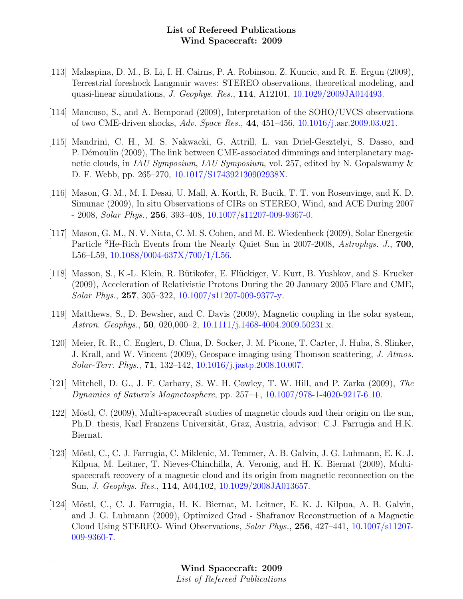- [113] Malaspina, D. M., B. Li, I. H. Cairns, P. A. Robinson, Z. Kuncic, and R. E. Ergun (2009), Terrestrial foreshock Langmuir waves: STEREO observations, theoretical modeling, and quasi-linear simulations, J. Geophys. Res., 114, A12101, [10.1029/2009JA014493.](http://dx.doi.org/10.1029/2009JA014493)
- [114] Mancuso, S., and A. Bemporad (2009), Interpretation of the SOHO/UVCS observations of two CME-driven shocks, Adv. Space Res., 44, 451–456, [10.1016/j.asr.2009.03.021.](http://dx.doi.org/10.1016/j.asr.2009.03.021)
- [115] Mandrini, C. H., M. S. Nakwacki, G. Attrill, L. van Driel-Gesztelyi, S. Dasso, and P. Démoulin (2009), The link between CME-associated dimmings and interplanetary magnetic clouds, in IAU Symposium, IAU Symposium, vol. 257, edited by N. Gopalswamy & D. F. Webb, pp. 265–270, [10.1017/S174392130902938X.](http://dx.doi.org/10.1017/S174392130902938X)
- [116] Mason, G. M., M. I. Desai, U. Mall, A. Korth, R. Bucik, T. T. von Rosenvinge, and K. D. Simunac (2009), In situ Observations of CIRs on STEREO, Wind, and ACE During 2007  $-$  2008, *Solar Phys.*, **256**, 393–408, [10.1007/s11207-009-9367-0.](http://dx.doi.org/10.1007/s11207-009-9367-0)
- [117] Mason, G. M., N. V. Nitta, C. M. S. Cohen, and M. E. Wiedenbeck (2009), Solar Energetic Particle <sup>3</sup>He-Rich Events from the Nearly Quiet Sun in 2007-2008, Astrophys. J., **700**, L56–L59, [10.1088/0004-637X/700/1/L56.](http://dx.doi.org/10.1088/0004-637X/700/1/L56)
- [118] Masson, S., K.-L. Klein, R. Bütikofer, E. Flückiger, V. Kurt, B. Yushkov, and S. Krucker (2009), Acceleration of Relativistic Protons During the 20 January 2005 Flare and CME, Solar Phys., 257, 305–322, [10.1007/s11207-009-9377-y.](http://dx.doi.org/10.1007/s11207-009-9377-y)
- [119] Matthews, S., D. Bewsher, and C. Davis (2009), Magnetic coupling in the solar system, Astron. Geophys., 50, 020,000-2, [10.1111/j.1468-4004.2009.50231.x.](http://dx.doi.org/10.1111/j.1468-4004.2009.50231.x)
- [120] Meier, R. R., C. Englert, D. Chua, D. Socker, J. M. Picone, T. Carter, J. Huba, S. Slinker, J. Krall, and W. Vincent (2009), Geospace imaging using Thomson scattering, J. Atmos. Solar-Terr. Phys., 71, 132–142, [10.1016/j.jastp.2008.10.007.](http://dx.doi.org/10.1016/j.jastp.2008.10.007)
- [121] Mitchell, D. G., J. F. Carbary, S. W. H. Cowley, T. W. Hill, and P. Zarka (2009), The Dynamics of Saturn's Magnetosphere, pp. 257–+, [10.1007/978-1-4020-9217-6](http://dx.doi.org/10.1007/978-1-4020-9217-6_10) 10.
- [122] Möstl, C. (2009), Multi-spacecraft studies of magnetic clouds and their origin on the sun, Ph.D. thesis, Karl Franzens Universität, Graz, Austria, advisor: C.J. Farrugia and H.K. Biernat.
- [123] Möstl, C., C. J. Farrugia, C. Miklenic, M. Temmer, A. B. Galvin, J. G. Luhmann, E. K. J. Kilpua, M. Leitner, T. Nieves-Chinchilla, A. Veronig, and H. K. Biernat (2009), Multispacecraft recovery of a magnetic cloud and its origin from magnetic reconnection on the Sun, J. Geophys. Res., 114, A04,102, [10.1029/2008JA013657.](http://dx.doi.org/10.1029/2008JA013657)
- [124] Möstl, C., C. J. Farrugia, H. K. Biernat, M. Leitner, E. K. J. Kilpua, A. B. Galvin, and J. G. Luhmann (2009), Optimized Grad - Shafranov Reconstruction of a Magnetic Cloud Using STEREO- Wind Observations, Solar Phys., 256, 427–441, [10.1007/s11207-](http://dx.doi.org/10.1007/s11207-009-9360-7) [009-9360-7.](http://dx.doi.org/10.1007/s11207-009-9360-7)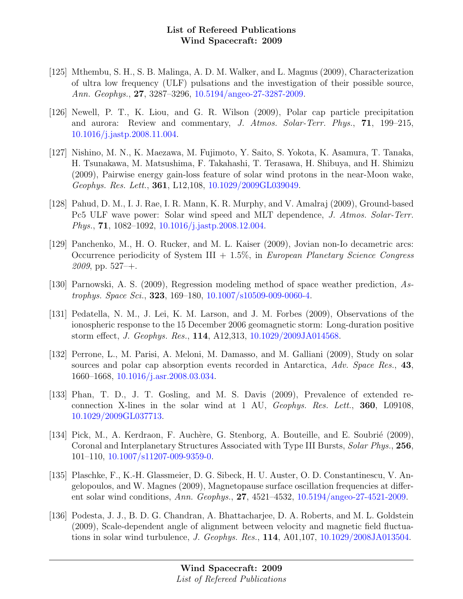- [125] Mthembu, S. H., S. B. Malinga, A. D. M. Walker, and L. Magnus (2009), Characterization of ultra low frequency (ULF) pulsations and the investigation of their possible source, Ann. Geophys., 27, 3287–3296, [10.5194/angeo-27-3287-2009.](http://dx.doi.org/10.5194/angeo-27-3287-2009)
- [126] Newell, P. T., K. Liou, and G. R. Wilson (2009), Polar cap particle precipitation and aurora: Review and commentary, J. Atmos. Solar-Terr. Phys., 71, 199–215, [10.1016/j.jastp.2008.11.004.](http://dx.doi.org/10.1016/j.jastp.2008.11.004)
- [127] Nishino, M. N., K. Maezawa, M. Fujimoto, Y. Saito, S. Yokota, K. Asamura, T. Tanaka, H. Tsunakawa, M. Matsushima, F. Takahashi, T. Terasawa, H. Shibuya, and H. Shimizu (2009), Pairwise energy gain-loss feature of solar wind protons in the near-Moon wake, Geophys. Res. Lett., 361, L12,108, [10.1029/2009GL039049.](http://dx.doi.org/10.1029/2009GL039049)
- [128] Pahud, D. M., I. J. Rae, I. R. Mann, K. R. Murphy, and V. Amalraj (2009), Ground-based Pc5 ULF wave power: Solar wind speed and MLT dependence, J. Atmos. Solar-Terr. Phys., 71, 1082–1092, [10.1016/j.jastp.2008.12.004.](http://dx.doi.org/10.1016/j.jastp.2008.12.004)
- [129] Panchenko, M., H. O. Rucker, and M. L. Kaiser (2009), Jovian non-Io decametric arcs: Occurrence periodicity of System III  $+$  1.5%, in European Planetary Science Congress 2009, pp. 527–+.
- [130] Parnowski, A. S. (2009), Regression modeling method of space weather prediction, Astrophys. Space Sci., 323, 169–180, [10.1007/s10509-009-0060-4.](http://dx.doi.org/10.1007/s10509-009-0060-4)
- [131] Pedatella, N. M., J. Lei, K. M. Larson, and J. M. Forbes (2009), Observations of the ionospheric response to the 15 December 2006 geomagnetic storm: Long-duration positive storm effect, J. Geophys. Res., 114, A12,313, [10.1029/2009JA014568.](http://dx.doi.org/10.1029/2009JA014568)
- [132] Perrone, L., M. Parisi, A. Meloni, M. Damasso, and M. Galliani (2009), Study on solar sources and polar cap absorption events recorded in Antarctica, Adv. Space Res., 43, 1660–1668, [10.1016/j.asr.2008.03.034.](http://dx.doi.org/10.1016/j.asr.2008.03.034)
- [133] Phan, T. D., J. T. Gosling, and M. S. Davis (2009), Prevalence of extended reconnection X-lines in the solar wind at 1 AU, Geophys. Res. Lett., 360, L09108, [10.1029/2009GL037713.](http://dx.doi.org/10.1029/2009GL037713)
- [134] Pick, M., A. Kerdraon, F. Auchère, G. Stenborg, A. Bouteille, and E. Soubrié (2009), Coronal and Interplanetary Structures Associated with Type III Bursts, Solar Phys., 256, 101–110, [10.1007/s11207-009-9359-0.](http://dx.doi.org/10.1007/s11207-009-9359-0)
- [135] Plaschke, F., K.-H. Glassmeier, D. G. Sibeck, H. U. Auster, O. D. Constantinescu, V. Angelopoulos, and W. Magnes (2009), Magnetopause surface oscillation frequencies at different solar wind conditions, Ann. Geophys., 27, 4521–4532, [10.5194/angeo-27-4521-2009.](http://dx.doi.org/10.5194/angeo-27-4521-2009)
- [136] Podesta, J. J., B. D. G. Chandran, A. Bhattacharjee, D. A. Roberts, and M. L. Goldstein (2009), Scale-dependent angle of alignment between velocity and magnetic field fluctuations in solar wind turbulence, J. Geophys. Res., 114, A01,107, [10.1029/2008JA013504.](http://dx.doi.org/10.1029/2008JA013504)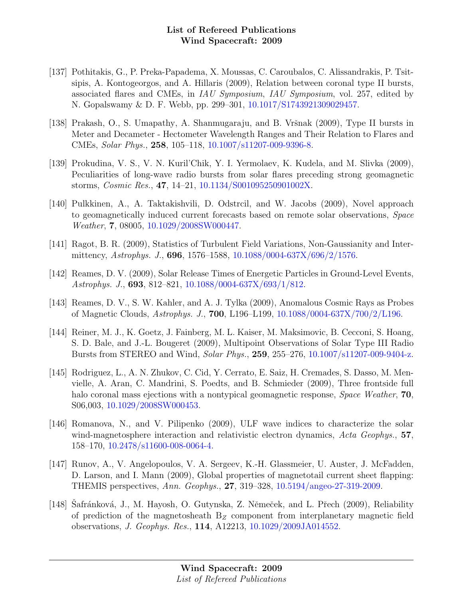- [137] Pothitakis, G., P. Preka-Papadema, X. Moussas, C. Caroubalos, C. Alissandrakis, P. Tsitsipis, A. Kontogeorgos, and A. Hillaris (2009), Relation between coronal type II bursts, associated flares and CMEs, in IAU Symposium, IAU Symposium, vol. 257, edited by N. Gopalswamy & D. F. Webb, pp. 299–301, [10.1017/S1743921309029457.](http://dx.doi.org/10.1017/S1743921309029457)
- [138] Prakash, O., S. Umapathy, A. Shanmugaraju, and B. Vršnak (2009), Type II bursts in Meter and Decameter - Hectometer Wavelength Ranges and Their Relation to Flares and CMEs, Solar Phys., 258, 105–118, [10.1007/s11207-009-9396-8.](http://dx.doi.org/10.1007/s11207-009-9396-8)
- [139] Prokudina, V. S., V. N. Kuril'Chik, Y. I. Yermolaev, K. Kudela, and M. Slivka (2009), Peculiarities of long-wave radio bursts from solar flares preceding strong geomagnetic storms, Cosmic Res., 47, 14–21, [10.1134/S001095250901002X.](http://dx.doi.org/10.1134/S001095250901002X)
- [140] Pulkkinen, A., A. Taktakishvili, D. Odstrcil, and W. Jacobs (2009), Novel approach to geomagnetically induced current forecasts based on remote solar observations, Space Weather, 7, 08005, [10.1029/2008SW000447.](http://dx.doi.org/10.1029/2008SW000447)
- [141] Ragot, B. R. (2009), Statistics of Turbulent Field Variations, Non-Gaussianity and Intermittency, Astrophys. J., 696, 1576–1588, [10.1088/0004-637X/696/2/1576.](http://dx.doi.org/10.1088/0004-637X/696/2/1576)
- [142] Reames, D. V. (2009), Solar Release Times of Energetic Particles in Ground-Level Events, Astrophys. J., 693, 812–821, [10.1088/0004-637X/693/1/812.](http://dx.doi.org/10.1088/0004-637X/693/1/812)
- [143] Reames, D. V., S. W. Kahler, and A. J. Tylka (2009), Anomalous Cosmic Rays as Probes of Magnetic Clouds, Astrophys. J., 700, L196–L199, [10.1088/0004-637X/700/2/L196.](http://dx.doi.org/10.1088/0004-637X/700/2/L196)
- [144] Reiner, M. J., K. Goetz, J. Fainberg, M. L. Kaiser, M. Maksimovic, B. Cecconi, S. Hoang, S. D. Bale, and J.-L. Bougeret (2009), Multipoint Observations of Solar Type III Radio Bursts from STEREO and Wind, Solar Phys., 259, 255–276, [10.1007/s11207-009-9404-z.](http://dx.doi.org/10.1007/s11207-009-9404-z)
- [145] Rodriguez, L., A. N. Zhukov, C. Cid, Y. Cerrato, E. Saiz, H. Cremades, S. Dasso, M. Menvielle, A. Aran, C. Mandrini, S. Poedts, and B. Schmieder (2009), Three frontside full halo coronal mass ejections with a nontypical geomagnetic response, *Space Weather*, **70**, S06,003, [10.1029/2008SW000453.](http://dx.doi.org/10.1029/2008SW000453)
- [146] Romanova, N., and V. Pilipenko (2009), ULF wave indices to characterize the solar wind-magnetosphere interaction and relativistic electron dynamics, Acta Geophys., 57, 158–170, [10.2478/s11600-008-0064-4.](http://dx.doi.org/10.2478/s11600-008-0064-4)
- [147] Runov, A., V. Angelopoulos, V. A. Sergeev, K.-H. Glassmeier, U. Auster, J. McFadden, D. Larson, and I. Mann (2009), Global properties of magnetotail current sheet flapping: THEMIS perspectives, Ann. Geophys., 27, 319–328, [10.5194/angeo-27-319-2009.](http://dx.doi.org/10.5194/angeo-27-319-2009)
- [148] Safránková, J., M. Hayosh, O. Gutynska, Z. Němeček, and L. Přech (2009), Reliability of prediction of the magnetosheath  $B_Z$  component from interplanetary magnetic field observations, J. Geophys. Res., 114, A12213, [10.1029/2009JA014552.](http://dx.doi.org/10.1029/2009JA014552)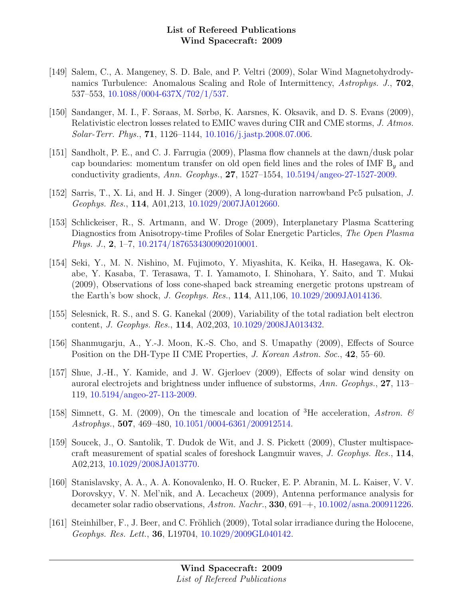- [149] Salem, C., A. Mangeney, S. D. Bale, and P. Veltri (2009), Solar Wind Magnetohydrodynamics Turbulence: Anomalous Scaling and Role of Intermittency, Astrophys. J., 702, 537–553, [10.1088/0004-637X/702/1/537.](http://dx.doi.org/10.1088/0004-637X/702/1/537)
- [150] Sandanger, M. I., F. Søraas, M. Sørbø, K. Aarsnes, K. Oksavik, and D. S. Evans (2009), Relativistic electron losses related to EMIC waves during CIR and CME storms, J. Atmos. Solar-Terr. Phys., 71, 1126–1144, [10.1016/j.jastp.2008.07.006.](http://dx.doi.org/10.1016/j.jastp.2008.07.006)
- [151] Sandholt, P. E., and C. J. Farrugia (2009), Plasma flow channels at the dawn/dusk polar cap boundaries: momentum transfer on old open field lines and the roles of IMF  $B_y$  and conductivity gradients, Ann. Geophys., 27, 1527–1554, [10.5194/angeo-27-1527-2009.](http://dx.doi.org/10.5194/angeo-27-1527-2009)
- [152] Sarris, T., X. Li, and H. J. Singer (2009), A long-duration narrowband Pc5 pulsation, J. Geophys. Res., 114, A01,213, [10.1029/2007JA012660.](http://dx.doi.org/10.1029/2007JA012660)
- [153] Schlickeiser, R., S. Artmann, and W. Droge (2009), Interplanetary Plasma Scattering Diagnostics from Anisotropy-time Profiles of Solar Energetic Particles, The Open Plasma Phys. J., 2, 1–7, [10.2174/1876534300902010001.](http://dx.doi.org/10.2174/1876534300902010001)
- [154] Seki, Y., M. N. Nishino, M. Fujimoto, Y. Miyashita, K. Keika, H. Hasegawa, K. Okabe, Y. Kasaba, T. Terasawa, T. I. Yamamoto, I. Shinohara, Y. Saito, and T. Mukai (2009), Observations of loss cone-shaped back streaming energetic protons upstream of the Earth's bow shock, J. Geophys. Res., 114, A11,106, [10.1029/2009JA014136.](http://dx.doi.org/10.1029/2009JA014136)
- [155] Selesnick, R. S., and S. G. Kanekal (2009), Variability of the total radiation belt electron content, J. Geophys. Res., 114, A02,203, [10.1029/2008JA013432.](http://dx.doi.org/10.1029/2008JA013432)
- [156] Shanmugarju, A., Y.-J. Moon, K.-S. Cho, and S. Umapathy (2009), Effects of Source Position on the DH-Type II CME Properties, J. Korean Astron. Soc., 42, 55–60.
- [157] Shue, J.-H., Y. Kamide, and J. W. Gjerloev (2009), Effects of solar wind density on auroral electrojets and brightness under influence of substorms, Ann. Geophys., 27, 113– 119, [10.5194/angeo-27-113-2009.](http://dx.doi.org/10.5194/angeo-27-113-2009)
- [158] Simnett, G. M. (2009), On the timescale and location of <sup>3</sup>He acceleration, Astron.  $\mathcal{C}$ Astrophys., 507, 469–480, [10.1051/0004-6361/200912514.](http://dx.doi.org/10.1051/0004-6361/200912514)
- [159] Soucek, J., O. Santolik, T. Dudok de Wit, and J. S. Pickett (2009), Cluster multispacecraft measurement of spatial scales of foreshock Langmuir waves, J. Geophys. Res., 114, A02,213, [10.1029/2008JA013770.](http://dx.doi.org/10.1029/2008JA013770)
- [160] Stanislavsky, A. A., A. A. Konovalenko, H. O. Rucker, E. P. Abranin, M. L. Kaiser, V. V. Dorovskyy, V. N. Mel'nik, and A. Lecacheux (2009), Antenna performance analysis for decameter solar radio observations, Astron. Nachr., 330, 691–+, [10.1002/asna.200911226.](http://dx.doi.org/10.1002/asna.200911226)
- [161] Steinhilber, F., J. Beer, and C. Fröhlich (2009), Total solar irradiance during the Holocene, Geophys. Res. Lett., 36, L19704, [10.1029/2009GL040142.](http://dx.doi.org/10.1029/2009GL040142)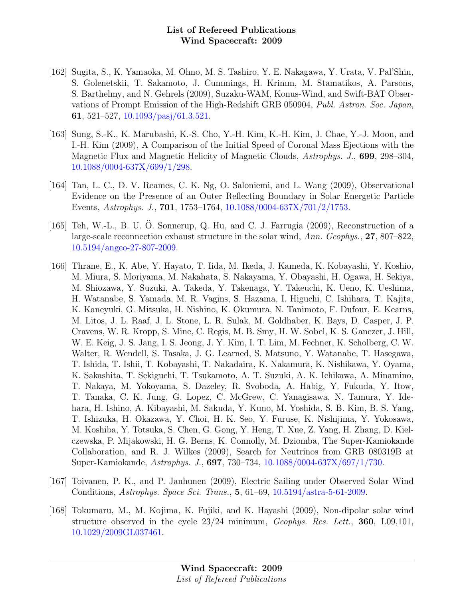- [162] Sugita, S., K. Yamaoka, M. Ohno, M. S. Tashiro, Y. E. Nakagawa, Y. Urata, V. Pal'Shin, S. Golenetskii, T. Sakamoto, J. Cummings, H. Krimm, M. Stamatikos, A. Parsons, S. Barthelmy, and N. Gehrels (2009), Suzaku-WAM, Konus-Wind, and Swift-BAT Observations of Prompt Emission of the High-Redshift GRB 050904, Publ. Astron. Soc. Japan, 61, 521–527, [10.1093/pasj/61.3.521.](http://dx.doi.org/10.1093/pasj/61.3.521)
- [163] Sung, S.-K., K. Marubashi, K.-S. Cho, Y.-H. Kim, K.-H. Kim, J. Chae, Y.-J. Moon, and I.-H. Kim (2009), A Comparison of the Initial Speed of Coronal Mass Ejections with the Magnetic Flux and Magnetic Helicity of Magnetic Clouds, Astrophys. J., 699, 298–304, [10.1088/0004-637X/699/1/298.](http://dx.doi.org/10.1088/0004-637X/699/1/298)
- [164] Tan, L. C., D. V. Reames, C. K. Ng, O. Saloniemi, and L. Wang (2009), Observational Evidence on the Presence of an Outer Reflecting Boundary in Solar Energetic Particle Events, Astrophys. J., 701, 1753–1764, [10.1088/0004-637X/701/2/1753.](http://dx.doi.org/10.1088/0004-637X/701/2/1753)
- [165] Teh, W.-L., B. U. O. Sonnerup, Q. Hu, and C. J. Farrugia  $(2009)$ , Reconstruction of a large-scale reconnection exhaust structure in the solar wind, Ann. Geophys., 27, 807–822, [10.5194/angeo-27-807-2009.](http://dx.doi.org/10.5194/angeo-27-807-2009)
- [166] Thrane, E., K. Abe, Y. Hayato, T. Iida, M. Ikeda, J. Kameda, K. Kobayashi, Y. Koshio, M. Miura, S. Moriyama, M. Nakahata, S. Nakayama, Y. Obayashi, H. Ogawa, H. Sekiya, M. Shiozawa, Y. Suzuki, A. Takeda, Y. Takenaga, Y. Takeuchi, K. Ueno, K. Ueshima, H. Watanabe, S. Yamada, M. R. Vagins, S. Hazama, I. Higuchi, C. Ishihara, T. Kajita, K. Kaneyuki, G. Mitsuka, H. Nishino, K. Okumura, N. Tanimoto, F. Dufour, E. Kearns, M. Litos, J. L. Raaf, J. L. Stone, L. R. Sulak, M. Goldhaber, K. Bays, D. Casper, J. P. Cravens, W. R. Kropp, S. Mine, C. Regis, M. B. Smy, H. W. Sobel, K. S. Ganezer, J. Hill, W. E. Keig, J. S. Jang, I. S. Jeong, J. Y. Kim, I. T. Lim, M. Fechner, K. Scholberg, C. W. Walter, R. Wendell, S. Tasaka, J. G. Learned, S. Matsuno, Y. Watanabe, T. Hasegawa, T. Ishida, T. Ishii, T. Kobayashi, T. Nakadaira, K. Nakamura, K. Nishikawa, Y. Oyama, K. Sakashita, T. Sekiguchi, T. Tsukamoto, A. T. Suzuki, A. K. Ichikawa, A. Minamino, T. Nakaya, M. Yokoyama, S. Dazeley, R. Svoboda, A. Habig, Y. Fukuda, Y. Itow, T. Tanaka, C. K. Jung, G. Lopez, C. McGrew, C. Yanagisawa, N. Tamura, Y. Idehara, H. Ishino, A. Kibayashi, M. Sakuda, Y. Kuno, M. Yoshida, S. B. Kim, B. S. Yang, T. Ishizuka, H. Okazawa, Y. Choi, H. K. Seo, Y. Furuse, K. Nishijima, Y. Yokosawa, M. Koshiba, Y. Totsuka, S. Chen, G. Gong, Y. Heng, T. Xue, Z. Yang, H. Zhang, D. Kielczewska, P. Mijakowski, H. G. Berns, K. Connolly, M. Dziomba, The Super-Kamiokande Collaboration, and R. J. Wilkes (2009), Search for Neutrinos from GRB 080319B at Super-Kamiokande, Astrophys. J., 697, 730–734, [10.1088/0004-637X/697/1/730.](http://dx.doi.org/10.1088/0004-637X/697/1/730)
- [167] Toivanen, P. K., and P. Janhunen (2009), Electric Sailing under Observed Solar Wind Conditions, Astrophys. Space Sci. Trans., 5, 61–69, [10.5194/astra-5-61-2009.](http://dx.doi.org/10.5194/astra-5-61-2009)
- [168] Tokumaru, M., M. Kojima, K. Fujiki, and K. Hayashi (2009), Non-dipolar solar wind structure observed in the cycle  $23/24$  minimum, *Geophys. Res. Lett.*, **360**, L09,101, [10.1029/2009GL037461.](http://dx.doi.org/10.1029/2009GL037461)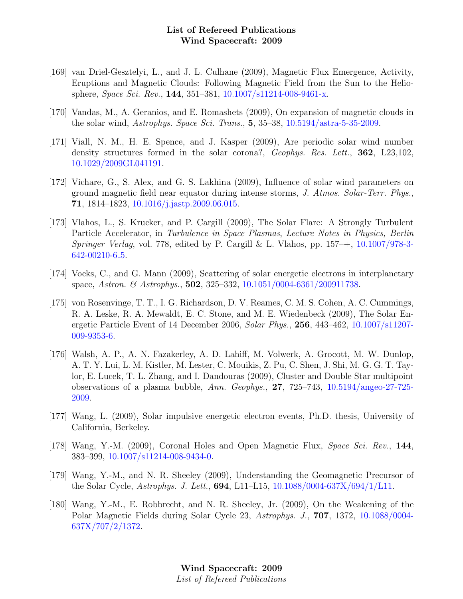- [169] van Driel-Gesztelyi, L., and J. L. Culhane (2009), Magnetic Flux Emergence, Activity, Eruptions and Magnetic Clouds: Following Magnetic Field from the Sun to the Heliosphere, Space Sci. Rev., 144, 351–381, [10.1007/s11214-008-9461-x.](http://dx.doi.org/10.1007/s11214-008-9461-x)
- [170] Vandas, M., A. Geranios, and E. Romashets (2009), On expansion of magnetic clouds in the solar wind, Astrophys. Space Sci. Trans., 5, 35–38, [10.5194/astra-5-35-2009.](http://dx.doi.org/10.5194/astra-5-35-2009)
- [171] Viall, N. M., H. E. Spence, and J. Kasper (2009), Are periodic solar wind number density structures formed in the solar corona?, Geophys. Res. Lett., 362, L23,102, [10.1029/2009GL041191.](http://dx.doi.org/10.1029/2009GL041191)
- [172] Vichare, G., S. Alex, and G. S. Lakhina (2009), Influence of solar wind parameters on ground magnetic field near equator during intense storms, J. Atmos. Solar-Terr. Phys., 71, 1814–1823, [10.1016/j.jastp.2009.06.015.](http://dx.doi.org/10.1016/j.jastp.2009.06.015)
- [173] Vlahos, L., S. Krucker, and P. Cargill (2009), The Solar Flare: A Strongly Turbulent Particle Accelerator, in Turbulence in Space Plasmas, Lecture Notes in Physics, Berlin *Springer Verlag*, vol. 778, edited by P. Cargill & L. Vlahos, pp.  $157<sup>+</sup>$ ,  $10.1007/978-3$ -[642-00210-6](http://dx.doi.org/10.1007/978-3-642-00210-6_5).5.
- [174] Vocks, C., and G. Mann (2009), Scattering of solar energetic electrons in interplanetary space, Astron. & Astrophys., **502**, 325–332, [10.1051/0004-6361/200911738.](http://dx.doi.org/10.1051/0004-6361/200911738)
- [175] von Rosenvinge, T. T., I. G. Richardson, D. V. Reames, C. M. S. Cohen, A. C. Cummings, R. A. Leske, R. A. Mewaldt, E. C. Stone, and M. E. Wiedenbeck (2009), The Solar Energetic Particle Event of 14 December 2006, Solar Phys., 256, 443–462, [10.1007/s11207-](http://dx.doi.org/10.1007/s11207-009-9353-6) [009-9353-6.](http://dx.doi.org/10.1007/s11207-009-9353-6)
- [176] Walsh, A. P., A. N. Fazakerley, A. D. Lahiff, M. Volwerk, A. Grocott, M. W. Dunlop, A. T. Y. Lui, L. M. Kistler, M. Lester, C. Mouikis, Z. Pu, C. Shen, J. Shi, M. G. G. T. Taylor, E. Lucek, T. L. Zhang, and I. Dandouras (2009), Cluster and Double Star multipoint observations of a plasma bubble, Ann. Geophys., 27, 725–743, [10.5194/angeo-27-725-](http://dx.doi.org/10.5194/angeo-27-725-2009) [2009.](http://dx.doi.org/10.5194/angeo-27-725-2009)
- [177] Wang, L. (2009), Solar impulsive energetic electron events, Ph.D. thesis, University of California, Berkeley.
- [178] Wang, Y.-M. (2009), Coronal Holes and Open Magnetic Flux, Space Sci. Rev., 144, 383–399, [10.1007/s11214-008-9434-0.](http://dx.doi.org/10.1007/s11214-008-9434-0)
- [179] Wang, Y.-M., and N. R. Sheeley (2009), Understanding the Geomagnetic Precursor of the Solar Cycle, Astrophys. J. Lett., 694, L11–L15, [10.1088/0004-637X/694/1/L11.](http://dx.doi.org/10.1088/0004-637X/694/1/L11)
- [180] Wang, Y.-M., E. Robbrecht, and N. R. Sheeley, Jr. (2009), On the Weakening of the Polar Magnetic Fields during Solar Cycle 23, Astrophys. J., 707, 1372, [10.1088/0004-](http://dx.doi.org/10.1088/0004-637X/707/2/1372) [637X/707/2/1372.](http://dx.doi.org/10.1088/0004-637X/707/2/1372)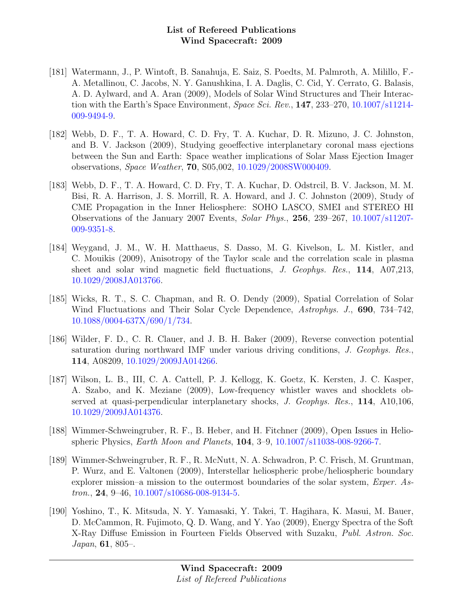- [181] Watermann, J., P. Wintoft, B. Sanahuja, E. Saiz, S. Poedts, M. Palmroth, A. Milillo, F.- A. Metallinou, C. Jacobs, N. Y. Ganushkina, I. A. Daglis, C. Cid, Y. Cerrato, G. Balasis, A. D. Aylward, and A. Aran (2009), Models of Solar Wind Structures and Their Interac-tion with the Earth's Space Environment, Space Sci. Rev., 147, 233–270, [10.1007/s11214-](http://dx.doi.org/10.1007/s11214-009-9494-9) [009-9494-9.](http://dx.doi.org/10.1007/s11214-009-9494-9)
- [182] Webb, D. F., T. A. Howard, C. D. Fry, T. A. Kuchar, D. R. Mizuno, J. C. Johnston, and B. V. Jackson (2009), Studying geoeffective interplanetary coronal mass ejections between the Sun and Earth: Space weather implications of Solar Mass Ejection Imager observations, Space Weather, 70, S05,002, [10.1029/2008SW000409.](http://dx.doi.org/10.1029/2008SW000409)
- [183] Webb, D. F., T. A. Howard, C. D. Fry, T. A. Kuchar, D. Odstrcil, B. V. Jackson, M. M. Bisi, R. A. Harrison, J. S. Morrill, R. A. Howard, and J. C. Johnston (2009), Study of CME Propagation in the Inner Heliosphere: SOHO LASCO, SMEI and STEREO HI Observations of the January 2007 Events, Solar Phys., 256, 239–267, [10.1007/s11207-](http://dx.doi.org/10.1007/s11207-009-9351-8) [009-9351-8.](http://dx.doi.org/10.1007/s11207-009-9351-8)
- [184] Weygand, J. M., W. H. Matthaeus, S. Dasso, M. G. Kivelson, L. M. Kistler, and C. Mouikis (2009), Anisotropy of the Taylor scale and the correlation scale in plasma sheet and solar wind magnetic field fluctuations, J. Geophys. Res., 114, A07,213, [10.1029/2008JA013766.](http://dx.doi.org/10.1029/2008JA013766)
- [185] Wicks, R. T., S. C. Chapman, and R. O. Dendy (2009), Spatial Correlation of Solar Wind Fluctuations and Their Solar Cycle Dependence, Astrophys. J., 690, 734–742, [10.1088/0004-637X/690/1/734.](http://dx.doi.org/10.1088/0004-637X/690/1/734)
- [186] Wilder, F. D., C. R. Clauer, and J. B. H. Baker (2009), Reverse convection potential saturation during northward IMF under various driving conditions, J. Geophys. Res., 114, A08209, [10.1029/2009JA014266.](http://dx.doi.org/10.1029/2009JA014266)
- [187] Wilson, L. B., III, C. A. Cattell, P. J. Kellogg, K. Goetz, K. Kersten, J. C. Kasper, A. Szabo, and K. Meziane (2009), Low-frequency whistler waves and shocklets observed at quasi-perpendicular interplanetary shocks, J. Geophys. Res., 114, A10,106, [10.1029/2009JA014376.](http://dx.doi.org/10.1029/2009JA014376)
- [188] Wimmer-Schweingruber, R. F., B. Heber, and H. Fitchner (2009), Open Issues in Heliospheric Physics, Earth Moon and Planets, 104, 3–9, [10.1007/s11038-008-9266-7.](http://dx.doi.org/10.1007/s11038-008-9266-7)
- [189] Wimmer-Schweingruber, R. F., R. McNutt, N. A. Schwadron, P. C. Frisch, M. Gruntman, P. Wurz, and E. Valtonen (2009), Interstellar heliospheric probe/heliospheric boundary explorer mission–a mission to the outermost boundaries of the solar system, Exper. As- $tron., 24, 9-46, 10.1007/s10686-008-9134-5.$  $tron., 24, 9-46, 10.1007/s10686-008-9134-5.$
- [190] Yoshino, T., K. Mitsuda, N. Y. Yamasaki, Y. Takei, T. Hagihara, K. Masui, M. Bauer, D. McCammon, R. Fujimoto, Q. D. Wang, and Y. Yao (2009), Energy Spectra of the Soft X-Ray Diffuse Emission in Fourteen Fields Observed with Suzaku, Publ. Astron. Soc. Japan, 61, 805–.